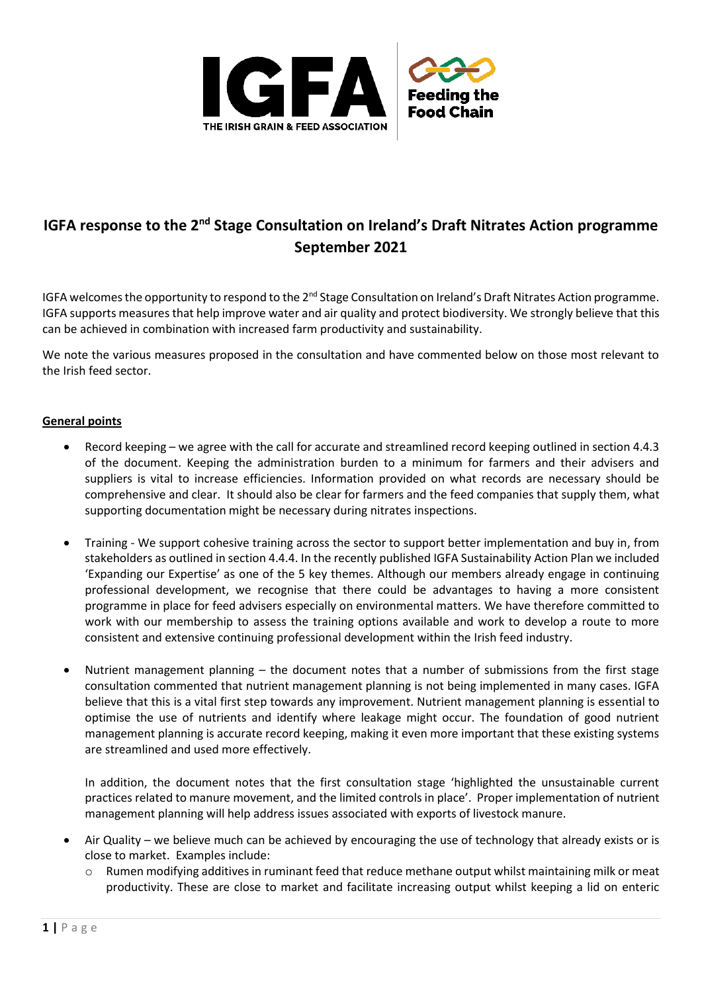

# **IGFA response to the 2nd Stage Consultation on Ireland's Draft Nitrates Action programme September 2021**

IGFA welcomes the opportunity to respond to the 2<sup>nd</sup> Stage Consultation on Ireland's Draft Nitrates Action programme. IGFA supports measures that help improve water and air quality and protect biodiversity. We strongly believe that this can be achieved in combination with increased farm productivity and sustainability.

We note the various measures proposed in the consultation and have commented below on those most relevant to the Irish feed sector.

# **General points**

- Record keeping we agree with the call for accurate and streamlined record keeping outlined in section 4.4.3 of the document. Keeping the administration burden to a minimum for farmers and their advisers and suppliers is vital to increase efficiencies. Information provided on what records are necessary should be comprehensive and clear. It should also be clear for farmers and the feed companies that supply them, what supporting documentation might be necessary during nitrates inspections.
- Training We support cohesive training across the sector to support better implementation and buy in, from stakeholders as outlined in section 4.4.4. In the recently published IGFA Sustainability Action Plan we included 'Expanding our Expertise' as one of the 5 key themes. Although our members already engage in continuing professional development, we recognise that there could be advantages to having a more consistent programme in place for feed advisers especially on environmental matters. We have therefore committed to work with our membership to assess the training options available and work to develop a route to more consistent and extensive continuing professional development within the Irish feed industry.
- Nutrient management planning the document notes that a number of submissions from the first stage consultation commented that nutrient management planning is not being implemented in many cases. IGFA believe that this is a vital first step towards any improvement. Nutrient management planning is essential to optimise the use of nutrients and identify where leakage might occur. The foundation of good nutrient management planning is accurate record keeping, making it even more important that these existing systems are streamlined and used more effectively.

In addition, the document notes that the first consultation stage 'highlighted the unsustainable current practices related to manure movement, and the limited controls in place'. Proper implementation of nutrient management planning will help address issues associated with exports of livestock manure.

- Air Quality we believe much can be achieved by encouraging the use of technology that already exists or is close to market. Examples include:
	- Rumen modifying additives in ruminant feed that reduce methane output whilst maintaining milk or meat productivity. These are close to market and facilitate increasing output whilst keeping a lid on enteric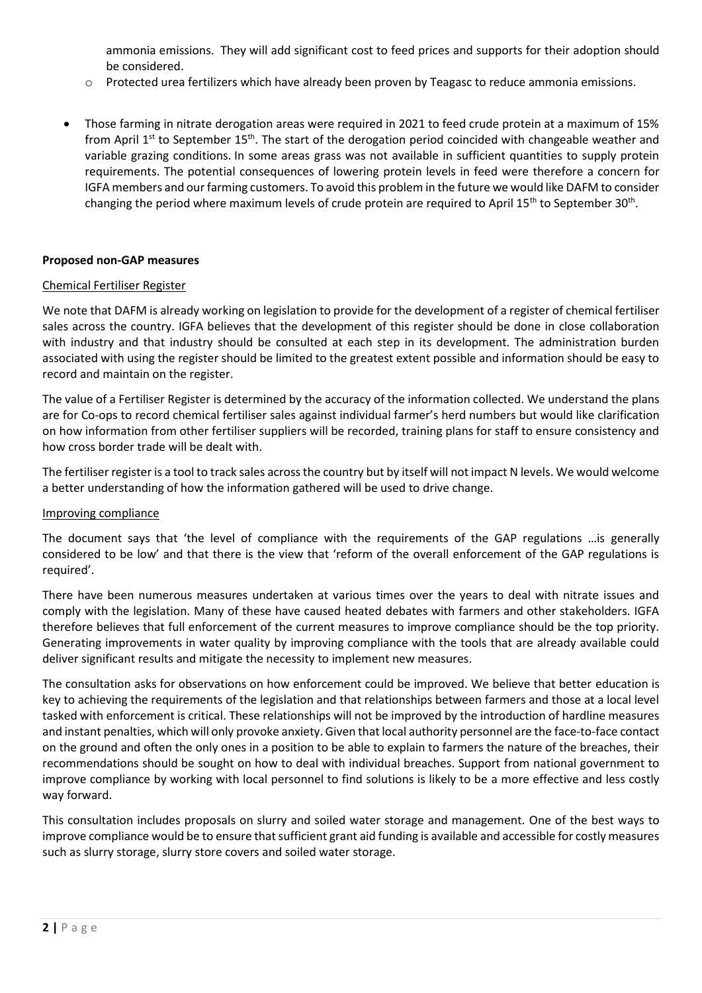ammonia emissions. They will add significant cost to feed prices and supports for their adoption should be considered.

- o Protected urea fertilizers which have already been proven by Teagasc to reduce ammonia emissions.
- Those farming in nitrate derogation areas were required in 2021 to feed crude protein at a maximum of 15% from April 1<sup>st</sup> to September 15<sup>th</sup>. The start of the derogation period coincided with changeable weather and variable grazing conditions. In some areas grass was not available in sufficient quantities to supply protein requirements. The potential consequences of lowering protein levels in feed were therefore a concern for IGFA members and our farming customers. To avoid this problem in the future we would like DAFM to consider changing the period where maximum levels of crude protein are required to April 15<sup>th</sup> to September 30<sup>th</sup>.

## **Proposed non-GAP measures**

## Chemical Fertiliser Register

We note that DAFM is already working on legislation to provide for the development of a register of chemical fertiliser sales across the country. IGFA believes that the development of this register should be done in close collaboration with industry and that industry should be consulted at each step in its development. The administration burden associated with using the register should be limited to the greatest extent possible and information should be easy to record and maintain on the register.

The value of a Fertiliser Register is determined by the accuracy of the information collected. We understand the plans are for Co-ops to record chemical fertiliser sales against individual farmer's herd numbers but would like clarification on how information from other fertiliser suppliers will be recorded, training plans for staff to ensure consistency and how cross border trade will be dealt with.

The fertiliser register is a tool to track sales across the country but by itself will not impact N levels. We would welcome a better understanding of how the information gathered will be used to drive change.

#### Improving compliance

The document says that 'the level of compliance with the requirements of the GAP regulations …is generally considered to be low' and that there is the view that 'reform of the overall enforcement of the GAP regulations is required'.

There have been numerous measures undertaken at various times over the years to deal with nitrate issues and comply with the legislation. Many of these have caused heated debates with farmers and other stakeholders. IGFA therefore believes that full enforcement of the current measures to improve compliance should be the top priority. Generating improvements in water quality by improving compliance with the tools that are already available could deliver significant results and mitigate the necessity to implement new measures.

The consultation asks for observations on how enforcement could be improved. We believe that better education is key to achieving the requirements of the legislation and that relationships between farmers and those at a local level tasked with enforcement is critical. These relationships will not be improved by the introduction of hardline measures and instant penalties, which will only provoke anxiety. Given that local authority personnel are the face-to-face contact on the ground and often the only ones in a position to be able to explain to farmers the nature of the breaches, their recommendations should be sought on how to deal with individual breaches. Support from national government to improve compliance by working with local personnel to find solutions is likely to be a more effective and less costly way forward.

This consultation includes proposals on slurry and soiled water storage and management. One of the best ways to improve compliance would be to ensure that sufficient grant aid funding is available and accessible for costly measures such as slurry storage, slurry store covers and soiled water storage.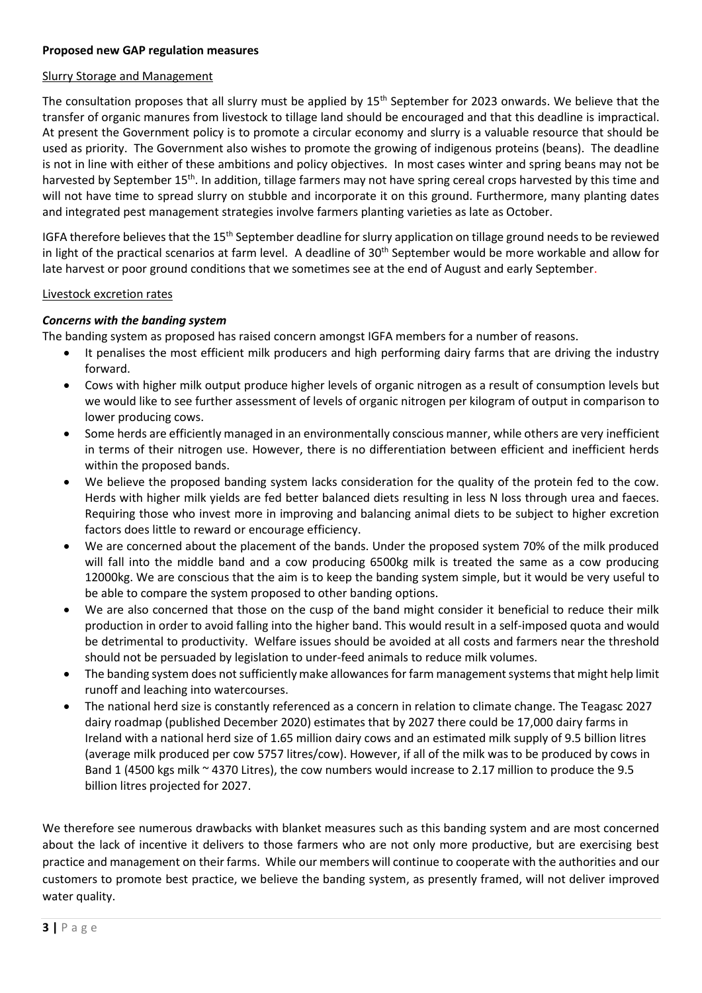## **Proposed new GAP regulation measures**

#### Slurry Storage and Management

The consultation proposes that all slurry must be applied by 15<sup>th</sup> September for 2023 onwards. We believe that the transfer of organic manures from livestock to tillage land should be encouraged and that this deadline is impractical. At present the Government policy is to promote a circular economy and slurry is a valuable resource that should be used as priority. The Government also wishes to promote the growing of indigenous proteins (beans). The deadline is not in line with either of these ambitions and policy objectives. In most cases winter and spring beans may not be harvested by September 15<sup>th</sup>. In addition, tillage farmers may not have spring cereal crops harvested by this time and will not have time to spread slurry on stubble and incorporate it on this ground. Furthermore, many planting dates and integrated pest management strategies involve farmers planting varieties as late as October.

IGFA therefore believes that the 15<sup>th</sup> September deadline for slurry application on tillage ground needs to be reviewed in light of the practical scenarios at farm level. A deadline of 30<sup>th</sup> September would be more workable and allow for late harvest or poor ground conditions that we sometimes see at the end of August and early September.

#### Livestock excretion rates

# *Concerns with the banding system*

The banding system as proposed has raised concern amongst IGFA members for a number of reasons.

- It penalises the most efficient milk producers and high performing dairy farms that are driving the industry forward.
- Cows with higher milk output produce higher levels of organic nitrogen as a result of consumption levels but we would like to see further assessment of levels of organic nitrogen per kilogram of output in comparison to lower producing cows.
- Some herds are efficiently managed in an environmentally conscious manner, while others are very inefficient in terms of their nitrogen use. However, there is no differentiation between efficient and inefficient herds within the proposed bands.
- We believe the proposed banding system lacks consideration for the quality of the protein fed to the cow. Herds with higher milk yields are fed better balanced diets resulting in less N loss through urea and faeces. Requiring those who invest more in improving and balancing animal diets to be subject to higher excretion factors does little to reward or encourage efficiency.
- We are concerned about the placement of the bands. Under the proposed system 70% of the milk produced will fall into the middle band and a cow producing 6500kg milk is treated the same as a cow producing 12000kg. We are conscious that the aim is to keep the banding system simple, but it would be very useful to be able to compare the system proposed to other banding options.
- We are also concerned that those on the cusp of the band might consider it beneficial to reduce their milk production in order to avoid falling into the higher band. This would result in a self-imposed quota and would be detrimental to productivity. Welfare issues should be avoided at all costs and farmers near the threshold should not be persuaded by legislation to under-feed animals to reduce milk volumes.
- The banding system does not sufficiently make allowances for farm management systems that might help limit runoff and leaching into watercourses.
- The national herd size is constantly referenced as a concern in relation to climate change. The Teagasc 2027 dairy roadmap (published December 2020) estimates that by 2027 there could be 17,000 dairy farms in Ireland with a national herd size of 1.65 million dairy cows and an estimated milk supply of 9.5 billion litres (average milk produced per cow 5757 litres/cow). However, if all of the milk was to be produced by cows in Band 1 (4500 kgs milk ~ 4370 Litres), the cow numbers would increase to 2.17 million to produce the 9.5 billion litres projected for 2027.

We therefore see numerous drawbacks with blanket measures such as this banding system and are most concerned about the lack of incentive it delivers to those farmers who are not only more productive, but are exercising best practice and management on their farms. While our members will continue to cooperate with the authorities and our customers to promote best practice, we believe the banding system, as presently framed, will not deliver improved water quality.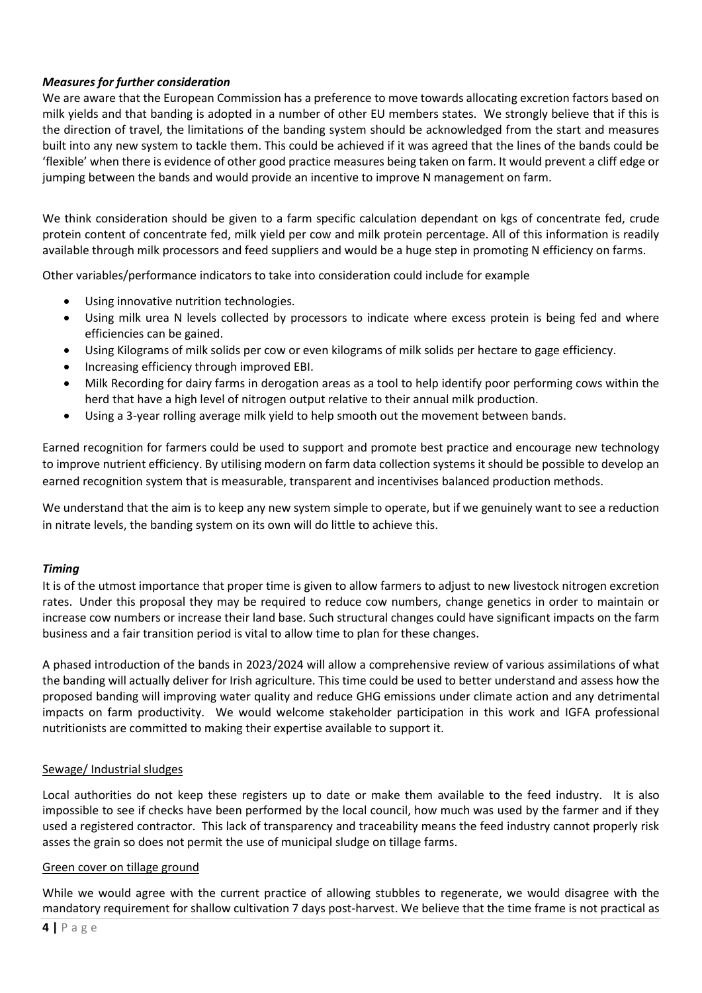# *Measures for further consideration*

We are aware that the European Commission has a preference to move towards allocating excretion factors based on milk yields and that banding is adopted in a number of other EU members states. We strongly believe that if this is the direction of travel, the limitations of the banding system should be acknowledged from the start and measures built into any new system to tackle them. This could be achieved if it was agreed that the lines of the bands could be 'flexible' when there is evidence of other good practice measures being taken on farm. It would prevent a cliff edge or jumping between the bands and would provide an incentive to improve N management on farm.

We think consideration should be given to a farm specific calculation dependant on kgs of concentrate fed, crude protein content of concentrate fed, milk yield per cow and milk protein percentage. All of this information is readily available through milk processors and feed suppliers and would be a huge step in promoting N efficiency on farms.

Other variables/performance indicators to take into consideration could include for example

- Using innovative nutrition technologies.
- Using milk urea N levels collected by processors to indicate where excess protein is being fed and where efficiencies can be gained.
- Using Kilograms of milk solids per cow or even kilograms of milk solids per hectare to gage efficiency.
- Increasing efficiency through improved EBI.
- Milk Recording for dairy farms in derogation areas as a tool to help identify poor performing cows within the herd that have a high level of nitrogen output relative to their annual milk production.
- Using a 3-year rolling average milk yield to help smooth out the movement between bands.

Earned recognition for farmers could be used to support and promote best practice and encourage new technology to improve nutrient efficiency. By utilising modern on farm data collection systems it should be possible to develop an earned recognition system that is measurable, transparent and incentivises balanced production methods.

We understand that the aim is to keep any new system simple to operate, but if we genuinely want to see a reduction in nitrate levels, the banding system on its own will do little to achieve this.

# *Timing*

It is of the utmost importance that proper time is given to allow farmers to adjust to new livestock nitrogen excretion rates. Under this proposal they may be required to reduce cow numbers, change genetics in order to maintain or increase cow numbers or increase their land base. Such structural changes could have significant impacts on the farm business and a fair transition period is vital to allow time to plan for these changes.

A phased introduction of the bands in 2023/2024 will allow a comprehensive review of various assimilations of what the banding will actually deliver for Irish agriculture. This time could be used to better understand and assess how the proposed banding will improving water quality and reduce GHG emissions under climate action and any detrimental impacts on farm productivity. We would welcome stakeholder participation in this work and IGFA professional nutritionists are committed to making their expertise available to support it.

# Sewage/ Industrial sludges

Local authorities do not keep these registers up to date or make them available to the feed industry. It is also impossible to see if checks have been performed by the local council, how much was used by the farmer and if they used a registered contractor. This lack of transparency and traceability means the feed industry cannot properly risk asses the grain so does not permit the use of municipal sludge on tillage farms.

#### Green cover on tillage ground

While we would agree with the current practice of allowing stubbles to regenerate, we would disagree with the mandatory requirement for shallow cultivation 7 days post-harvest. We believe that the time frame is not practical as